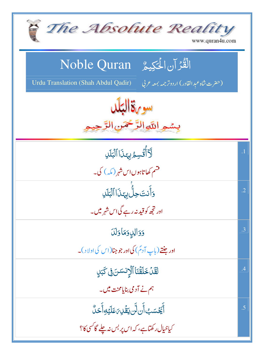| The Absolute Reality<br>www.quran4u.com                                                                                        |            |
|--------------------------------------------------------------------------------------------------------------------------------|------------|
| الْقُرْآنِ الْحَكِيمُ Noble Quran<br>Urdu Translation (Shah Abdul Qadir)<br>(حضرت شاه عبد القادر) اردوتر <i>جمه بمعه ع</i> ربي |            |
| سو باة البلد<br>بِسْمِ اللَّهِ الرَّحْمَنِ الرَّ                                                                               |            |
| لَأَأْتُسِمُ بِهَذَا ٱلْبَلَلِ                                                                                                 | $\cdot$ 1  |
| ۔<br>مسم کھاتاہوں اس شہر (مکہ) کی۔                                                                                             |            |
| .<br>وَأَنتَ حِلُّ بِهَذَا ٱلۡبَٰلَٰلِ                                                                                         | $\cdot$ .2 |
| اور تجھ کو قید نہ رہے گی اس شہر میں۔                                                                                           |            |
| وَوَالِدِوَمَاوَلَدَ                                                                                                           | .3         |
| ا <b>ور جنتے (باپ آ</b> دمؐ) ک <b>ی اور جو جنا(ا</b> س کی اولا د )۔                                                            |            |
| لَقَّلۡ خَلَقۡنَاۚ ٱلۡاِنسَنَ فِى كَبَلٍ                                                                                       | .4         |
| ہم نے آدمی بنایامحنت میں۔                                                                                                      |            |
| ٲۜ <i>ڲؘۼ</i> ٙۺٵؘٞڹڶڹ <i>ؾۊؙ۫</i> ڸ؆ۼڶؽ <sub>ٙ</sub> ۊؚٲۜڂڷ۠                                                                  | .5         |
| کیاخیال رکھتاہے، کہ اس پر بس نہ چلے گا <sup>کس</sup> ی کا؟                                                                     |            |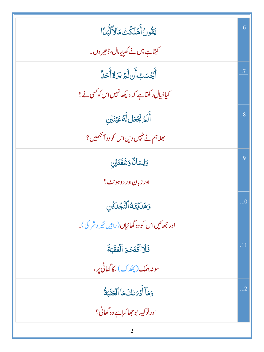| <b>يَقُولُ أَهۡلَكۡتُ مَالاَلَّٰٓئِدَا</b>              | .6        |
|---------------------------------------------------------|-----------|
| کہتاہے میں نے کھیایامال،ڈھیر وں۔                        |           |
| أَيَّحْسَبُ أَن لَّمَ يَرَ وَّأَحَلُّ                   | $\cdot$ 7 |
| کیاخیال رکھتاہے کہ دیکھانہیں اس کو کسی نے ؟             |           |
| أَلَمَ بَجْعَل لَّهُ عَيۡنَيۡنِ                         | .8        |
| بھلاہم نے نہیں دیں اس کو دو آئکھیں؟                     |           |
| وَلِسَانَا وَشَفَتَيْنِ                                 | .9        |
| ادر زبان اور دوہونٹ؟                                    |           |
| <u>وَهَىٰٓيْنَهُ</u> ٱلتَّجۡىٰٓي                        | .10       |
| اور تبھائیں اس کو دو گھاٹیاں (راہیں خیر وشر کی)۔        |           |
| فَلَا أَقْتَحَمَ ٱلۡعَقَبَةَ                            | .11       |
| سونہ ہمک(پھُد ک)سکا گھاٹی پر،                           |           |
| وَمَآ أَدۡرَسَكَ مَا ٱلۡعَقَبَةُ                        | .12       |
| اور نو<br>بيار نوکيسا بو حجھا کي <u>ا ہ</u> ے وہ گھاڻي؟ |           |
| っ                                                       |           |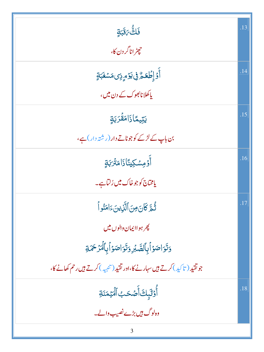| فَلَقَّىٰهَ:                                                               | .13 |
|----------------------------------------------------------------------------|-----|
| حچیٹر اناگر دن کا،                                                         |     |
| ٲٛۯٙٳ۪ڟ <i>ٙڬۿ</i> ۠؋ۣؾۯٙۄؚؚۯؚؽڡؘۺۼؘ <i>ڹۊٟ</i>                            | .14 |
| پاکھلا نائھوک کے دن میں،                                                   |     |
| <u>يَ</u> تِيمًاذَامَقُرَبَةٍ                                              | .15 |
| بن باپ کے لڑکے کوجوناتے دار (رشتہ دار)ہے،                                  |     |
| أَوۡ مِسۡكِينَاۢذَامَنۡرَبَةٍ                                              | .16 |
| یامخاج کوجوخاک میں رُلٹاہے۔                                                |     |
| ثُّعَّ كَانَ مِنَ ٱلََّذِينَءَامَنُواْ                                     | .17 |
| <u> پھر ہواا پمان والوں میں</u>                                            |     |
| وَتَوَاصَوۡأَبِٱلصَّبۡرِ وَتَوَاصَوۡأَبِٱلۡمَرۡحَمَةِ                      |     |
| جوتقید (تاکید) کرتے ہیں سہارنے کا،اور تقید (تنبیہ ) کرتے ہیں رحم کھانے کا، |     |
| أُوۡلَٰٓبِكَ أَصۡكَبُ ٱلۡۡيَٰمَنَةِ                                        | .18 |
| وہ لوگ ہیں بڑے نصیب والے۔                                                  |     |
| 3                                                                          |     |